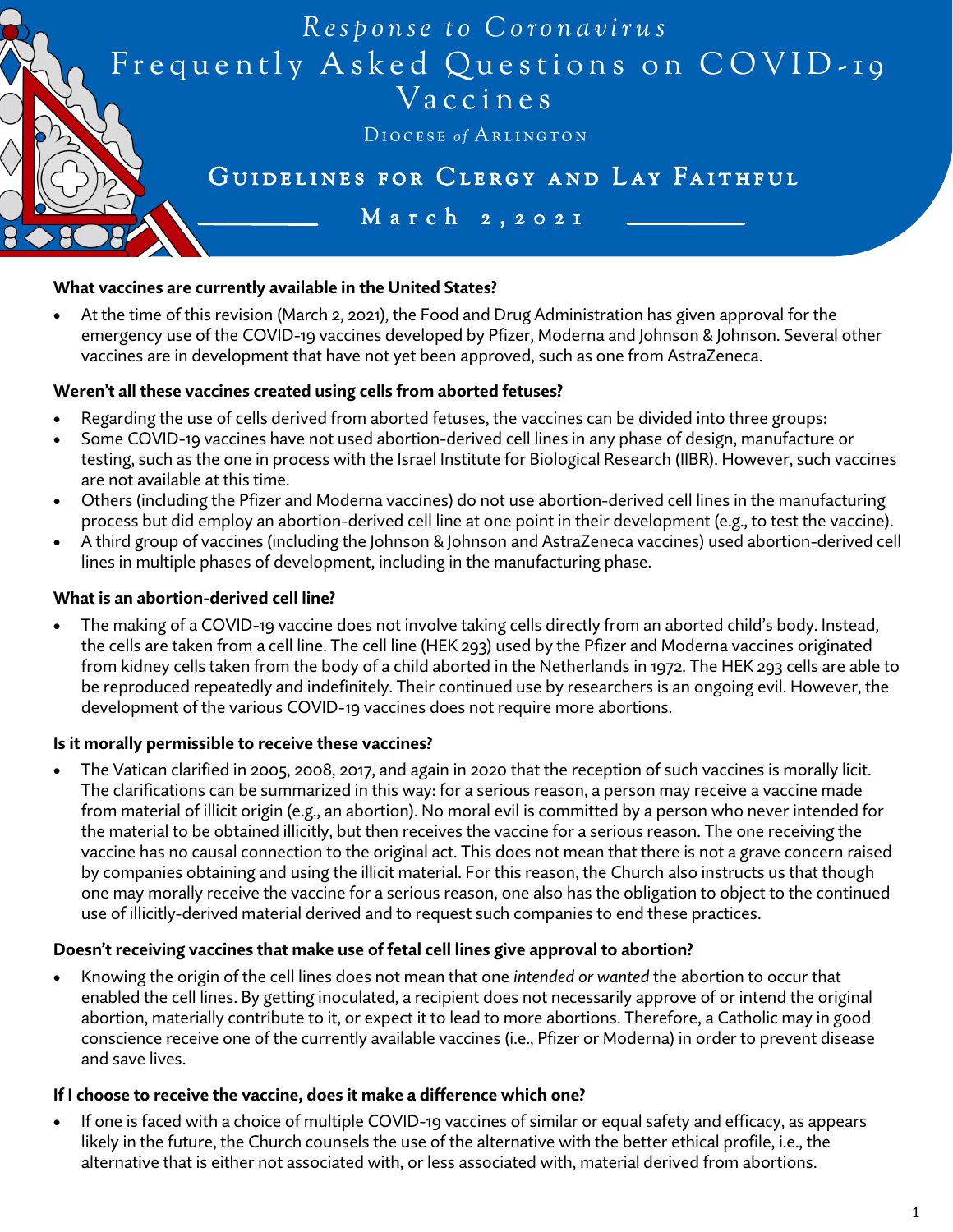

## **What vaccines are currently available in the United States?**

• At the time of this revision (March 2, 2021), the Food and Drug Administration has given approval for the emergency use of the COVID-19 vaccines developed by Pfizer, Moderna and Johnson & Johnson. Several other vaccines are in development that have not yet been approved, such as one from AstraZeneca.

### **Weren't all these vaccines created using cells from aborted fetuses?**

- Regarding the use of cells derived from aborted fetuses, the vaccines can be divided into three groups:
- Some COVID-19 vaccines have not used abortion-derived cell lines in any phase of design, manufacture or testing, such as the one in process with the Israel Institute for Biological Research (IIBR). However, such vaccines are not available at this time.
- Others (including the Pfizer and Moderna vaccines) do not use abortion-derived cell lines in the manufacturing process but did employ an abortion-derived cell line at one point in their development (e.g., to test the vaccine).
- A third group of vaccines (including the Johnson & Johnson and AstraZeneca vaccines) used abortion-derived cell lines in multiple phases of development, including in the manufacturing phase.

### **What is an abortion-derived cell line?**

• The making of a COVID-19 vaccine does not involve taking cells directly from an aborted child's body. Instead, the cells are taken from a cell line. The cell line (HEK 293) used by the Pfizer and Moderna vaccines originated from kidney cells taken from the body of a child aborted in the Netherlands in 1972. The HEK 293 cells are able to be reproduced repeatedly and indefinitely. Their continued use by researchers is an ongoing evil. However, the development of the various COVID-19 vaccines does not require more abortions.

### **Is it morally permissible to receive these vaccines?**

• The Vatican clarified in 2005, 2008, 2017, and again in 2020 that the reception of such vaccines is morally licit. The clarifications can be summarized in this way: for a serious reason, a person may receive a vaccine made from material of illicit origin (e.g., an abortion). No moral evil is committed by a person who never intended for the material to be obtained illicitly, but then receives the vaccine for a serious reason. The one receiving the vaccine has no causal connection to the original act. This does not mean that there is not a grave concern raised by companies obtaining and using the illicit material. For this reason, the Church also instructs us that though one may morally receive the vaccine for a serious reason, one also has the obligation to object to the continued use of illicitly-derived material derived and to request such companies to end these practices.

### **Doesn't receiving vaccines that make use of fetal cell lines give approval to abortion?**

• Knowing the origin of the cell lines does not mean that one *intended or wanted* the abortion to occur that enabled the cell lines. By getting inoculated, a recipient does not necessarily approve of or intend the original abortion, materially contribute to it, or expect it to lead to more abortions. Therefore, a Catholic may in good conscience receive one of the currently available vaccines (i.e., Pfizer or Moderna) in order to prevent disease and save lives.

### **If I choose to receive the vaccine, does it make a difference which one?**

If one is faced with a choice of multiple COVID-19 vaccines of similar or equal safety and efficacy, as appears likely in the future, the Church counsels the use of the alternative with the better ethical profile, i.e., the alternative that is either not associated with, or less associated with, material derived from abortions.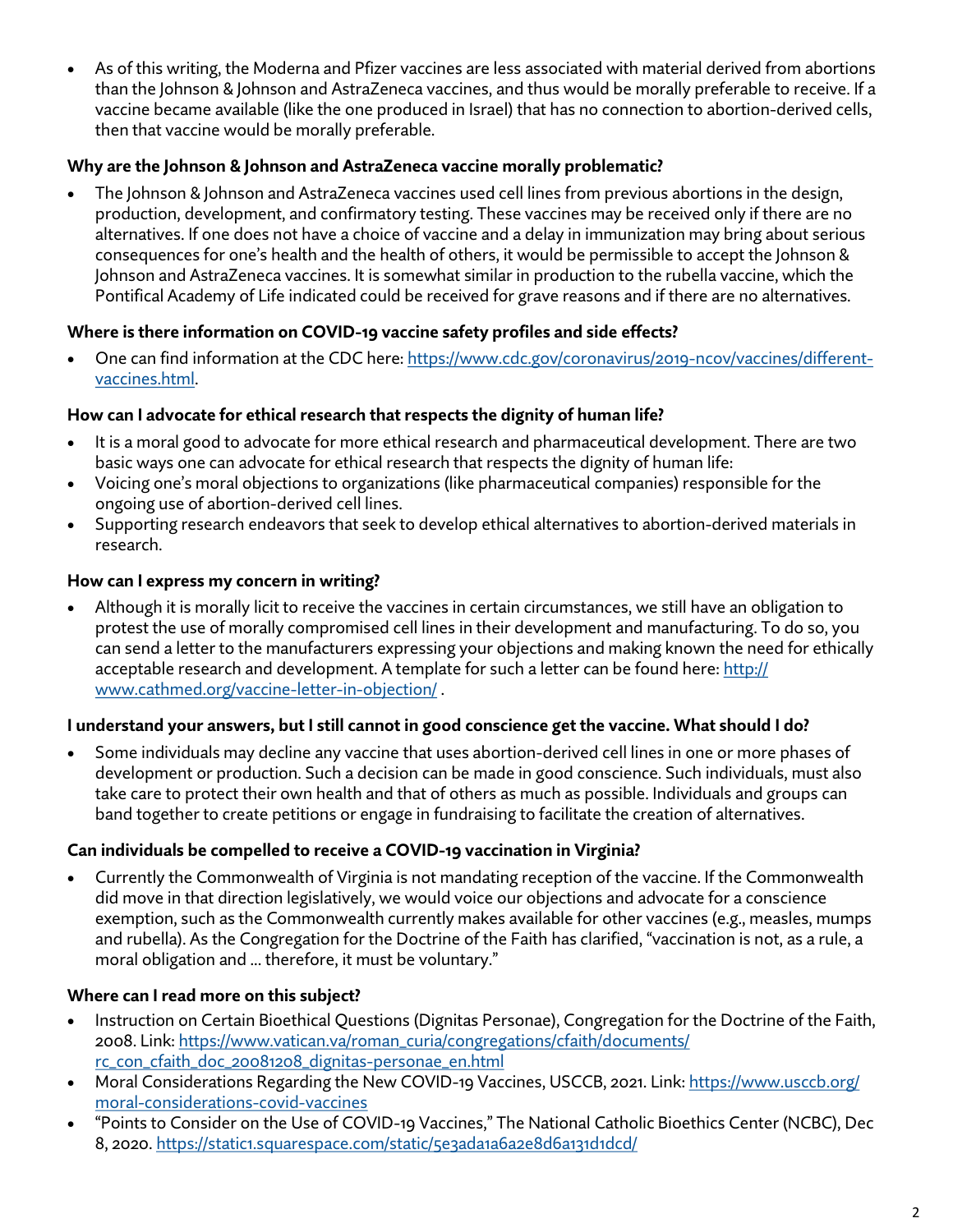• As of this writing, the Moderna and Pfizer vaccines are less associated with material derived from abortions than the Johnson & Johnson and AstraZeneca vaccines, and thus would be morally preferable to receive. If a vaccine became available (like the one produced in Israel) that has no connection to abortion-derived cells, then that vaccine would be morally preferable.

# **Why are the Johnson & Johnson and AstraZeneca vaccine morally problematic?**

• The Johnson & Johnson and AstraZeneca vaccines used cell lines from previous abortions in the design, production, development, and confirmatory testing. These vaccines may be received only if there are no alternatives. If one does not have a choice of vaccine and a delay in immunization may bring about serious consequences for one's health and the health of others, it would be permissible to accept the Johnson & Johnson and AstraZeneca vaccines. It is somewhat similar in production to the rubella vaccine, which the Pontifical Academy of Life indicated could be received for grave reasons and if there are no alternatives.

# **Where is there information on COVID-19 vaccine safety profiles and side effects?**

• One can find information at the CDC here: https://www.cdc.gov/coronavirus/2019-ncov/vaccines/differentvaccines.html.

# **How can I advocate for ethical research that respects the dignity of human life?**

- It is a moral good to advocate for more ethical research and pharmaceutical development. There are two basic ways one can advocate for ethical research that respects the dignity of human life:
- Voicing one's moral objections to organizations (like pharmaceutical companies) responsible for the ongoing use of abortion-derived cell lines.
- Supporting research endeavors that seek to develop ethical alternatives to abortion-derived materials in research.

# **How can I express my concern in writing?**

• Although it is morally licit to receive the vaccines in certain circumstances, we still have an obligation to protest the use of morally compromised cell lines in their development and manufacturing. To do so, you can send a letter to the manufacturers expressing your objections and making known the need for ethically acceptable research and development. A template for such a letter can be found here: http:// www.cathmed.org/vaccine-letter-in-objection/ .

# **I understand your answers, but I still cannot in good conscience get the vaccine. What should I do?**

• Some individuals may decline any vaccine that uses abortion-derived cell lines in one or more phases of development or production. Such a decision can be made in good conscience. Such individuals, must also take care to protect their own health and that of others as much as possible. Individuals and groups can band together to create petitions or engage in fundraising to facilitate the creation of alternatives.

# **Can individuals be compelled to receive a COVID-19 vaccination in Virginia?**

• Currently the Commonwealth of Virginia is not mandating reception of the vaccine. If the Commonwealth did move in that direction legislatively, we would voice our objections and advocate for a conscience exemption, such as the Commonwealth currently makes available for other vaccines (e.g., measles, mumps and rubella). As the Congregation for the Doctrine of the Faith has clarified, "vaccination is not, as a rule, a moral obligation and ... therefore, it must be voluntary."

# **Where can I read more on this subject?**

- Instruction on Certain Bioethical Questions (Dignitas Personae), Congregation for the Doctrine of the Faith, 2008. Link: https://www.vatican.va/roman\_curia/congregations/cfaith/documents/ rc\_con\_cfaith\_doc\_20081208\_dignitas-personae\_en.html
- Moral Considerations Regarding the New COVID-19 Vaccines, USCCB, 2021. Link: https://www.usccb.org/ moral-considerations-covid-vaccines
- "Points to Consider on the Use of COVID-19 Vaccines," The National Catholic Bioethics Center (NCBC), Dec 8, 2020. https://static1.squarespace.com/static/5e3ada1a6a2e8d6a131d1dcd/